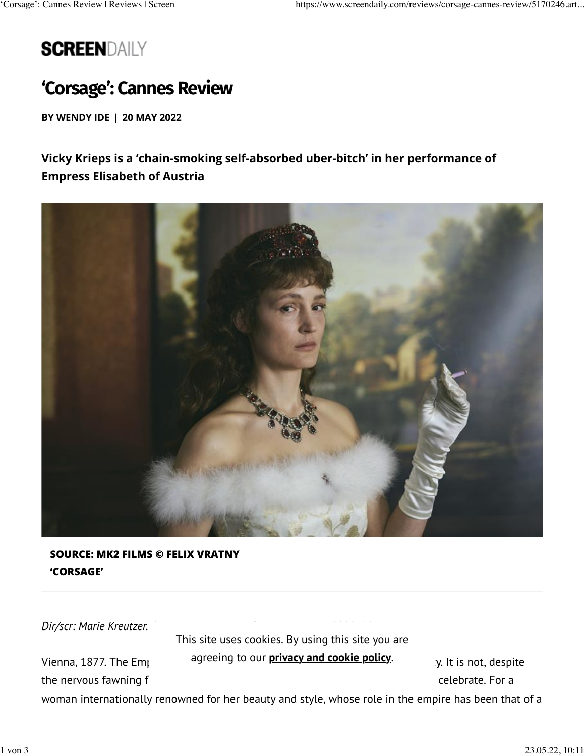

## **'Corsage': Cannes Review**

**BY WENDY IDE | 20 MAY 2022**

## **Vicky Krieps is a 'chain-smoking self-absorbed uber-bitch' in her performance of Empress Elisabeth of Austria**



**SOURCE: MK2 FILMS © FELIX VRATNY 'CORSAGE'**

*Dir/scr: Marie Kreutzer.* 

This site uses cookies. By using this site you are

Vienna, 1877. The Em<sub>i</sub> hare the agreeing to our <mark>[privacy and cookie policy](http://www.mb-insight.com/mbi-privacy-and-cookies-policy.html)</mark>. In the sample for the Spite of the S

the nervous fawning flattery of her inner circle, something that she is included to celebrate. For a

woman internationally renowned for her beauty and style, whose role in the empire has been that of a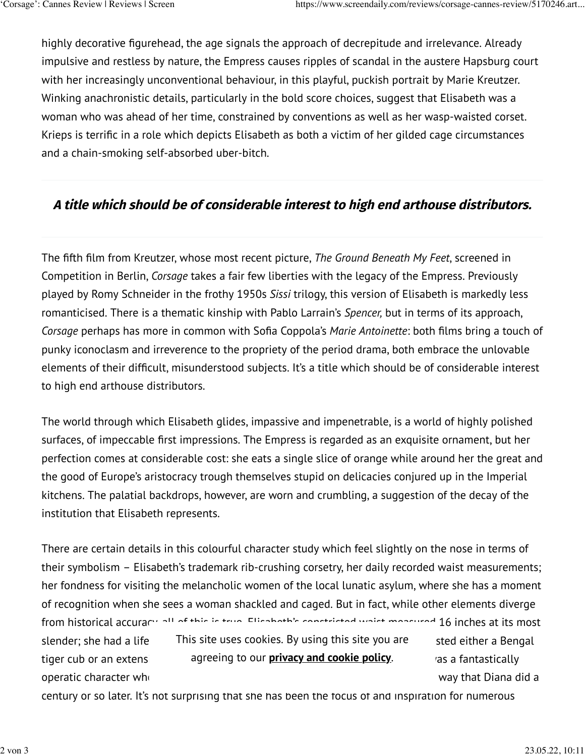highly decorative figurehead, the age signals the approach of decrepitude and irrelevance. Already impulsive and restless by nature, the Empress causes ripples of scandal in the austere Hapsburg court with her increasingly unconventional behaviour, in this playful, puckish portrait by Marie Kreutzer. Winking anachronistic details, particularly in the bold score choices, suggest that Elisabeth was a woman who was ahead of her time, constrained by conventions as well as her wasp-waisted corset. Krieps is terrific in a role which depicts Elisabeth as both a victim of her gilded cage circumstances and a chain-smoking self-absorbed uber-bitch.

## **A title which should be of considerable interest to high end arthouse distributors.**

The fifth film from Kreutzer, whose most recent picture, *The Ground Beneath My Feet*, screened in Competition in Berlin, *Corsage* takes a fair few liberties with the legacy of the Empress. Previously played by Romy Schneider in the frothy 1950s *Sissi* trilogy, this version of Elisabeth is markedly less romanticised. There is a thematic kinship with Pablo Larrain's *Spencer,* but in terms of its approach, *Corsage* perhaps has more in common with Sofia Coppola's *Marie Antoinette*: both films bring a touch of punky iconoclasm and irreverence to the propriety of the period drama, both embrace the unlovable elements of their difficult, misunderstood subjects. It's a title which should be of considerable interest to high end arthouse distributors.

The world through which Elisabeth glides, impassive and impenetrable, is a world of highly polished surfaces, of impeccable first impressions. The Empress is regarded as an exquisite ornament, but her perfection comes at considerable cost: she eats a single slice of orange while around her the great and the good of Europe's aristocracy trough themselves stupid on delicacies conjured up in the Imperial kitchens. The palatial backdrops, however, are worn and crumbling, a suggestion of the decay of the institution that Elisabeth represents.

There are certain details in this colourful character study which feel slightly on the nose in terms of their symbolism – Elisabeth's trademark rib-crushing corsetry, her daily recorded waist measurements; her fondness for visiting the melancholic women of the local lunatic asylum, where she has a moment of recognition when she sees a woman shackled and caged. But in fact, while other elements diverge from historical accuracy, all of this is true. Elisabeth's constricted waist measured 16 inches at its most slender; she had a life hthis site uses cookies. By using this site you are hther a Bengal tiger cub or an extens agreeing to our <mark>[privacy and cookie policy](http://www.mb-insight.com/mbi-privacy-and-cookies-policy.html)</mark>. <sub>'as</sub> a fantastically operatic character who captured the imagination of the imagination of the public in much the same way that Diana did a century or so later. It's not surprising that she has been the focus of and inspiration for numerous